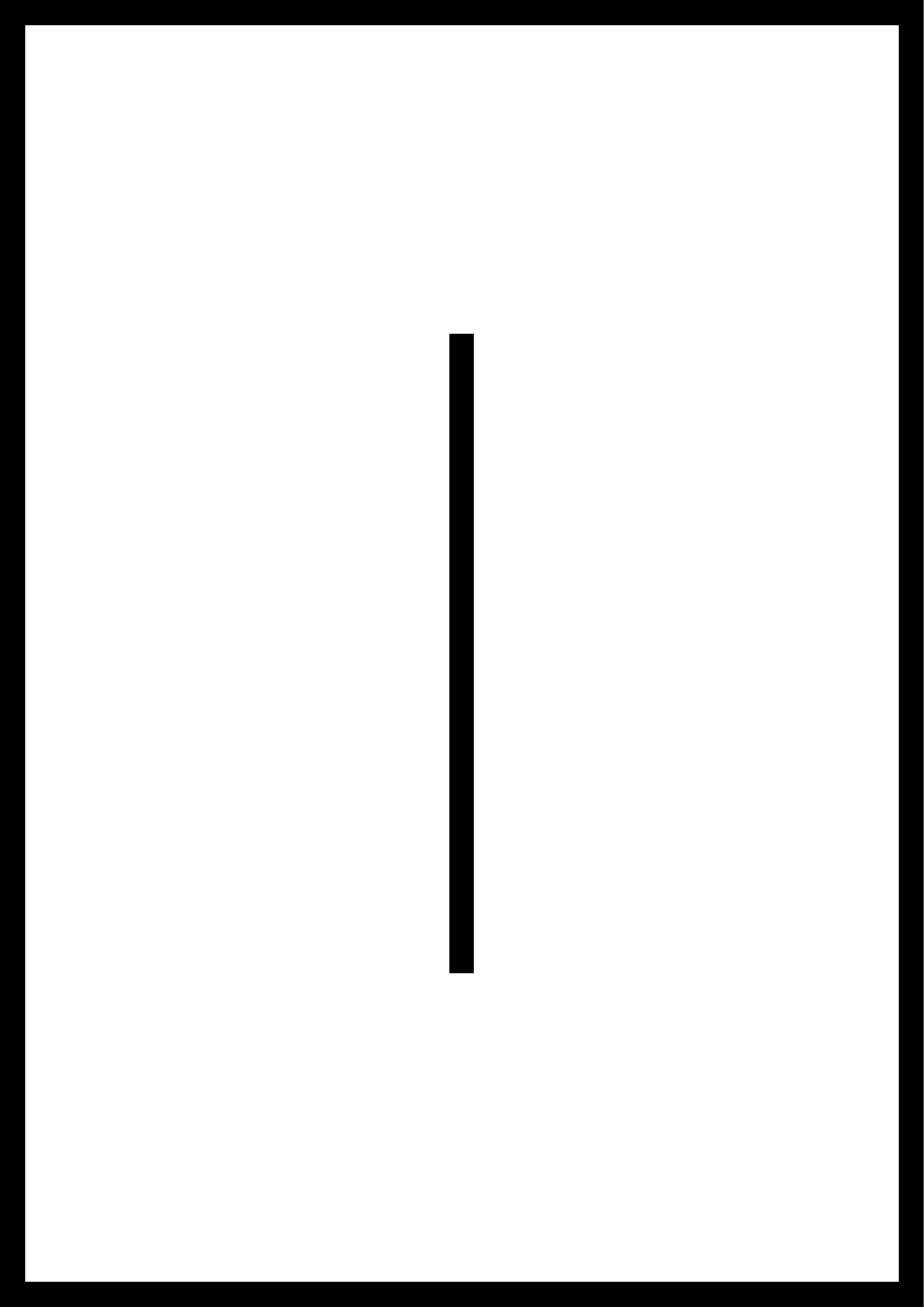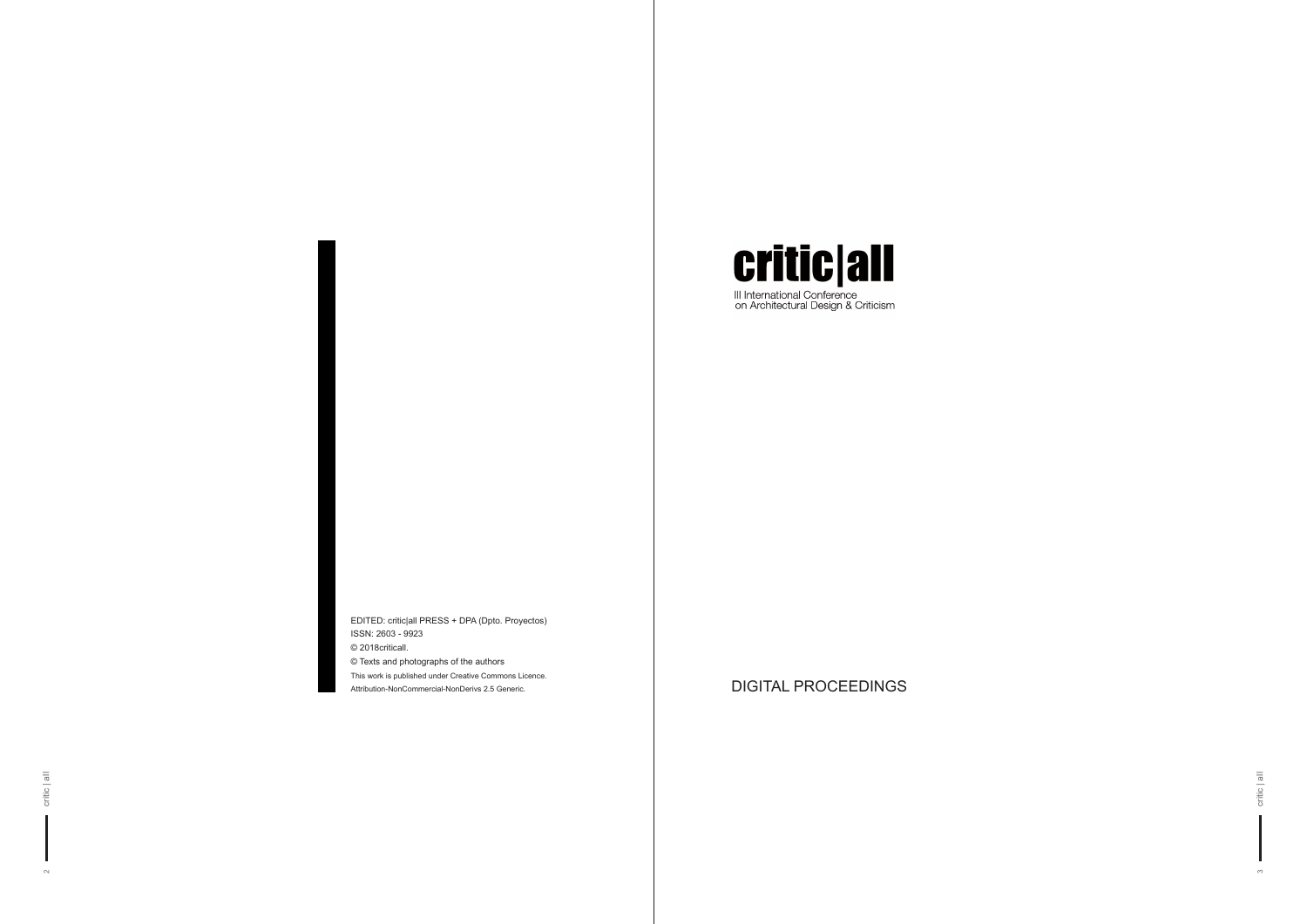critic | all  $\mathbb T$ 

ო



EDITED: critic|all PRESS + DPA (Dpto. Proyectos) ISSN: 2603 - 9923 © 2018criticall. © Texts and photographs of the authors This work is published under Creative Commons Licence. Attribution-NonCommercial-NonDerivs 2.5 Generic. Attribution-NonCommercial-NonDerivs 2.5 Generic.

 $\sim$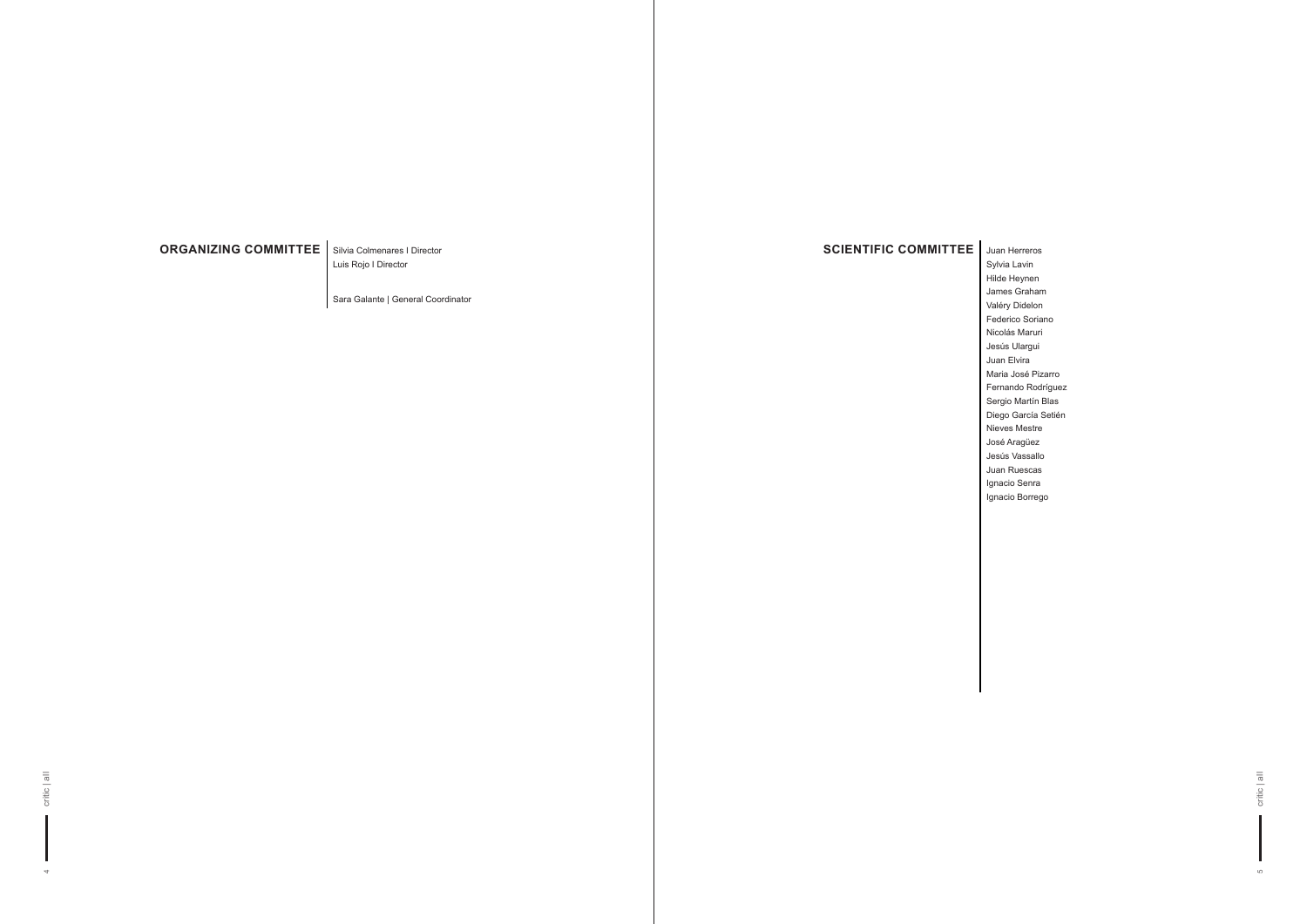critic | all

 $\blacksquare$ 

4

L

Sylvia Lavin Hilde Heynen James Graham Valéry Didelon Federico Soriano Nicolás Maruri Jesús Ulargui Juan Elvira Maria José Pizarro Fernando Rodríguez Sergio Martín Blas Diego García Setién Nieves Mestre José Aragüez Jesús Vassallo Juan Ruescas Ignacio Senra

Ignacio Borrego

### **ORGANIZING COMMITTEE** Silvia Colmenares I Director **Note 2008 SCIENTIFIC COMMITTEE** | Juan Herreros

Luis Rojo I Director

Sara Galante | General Coordinator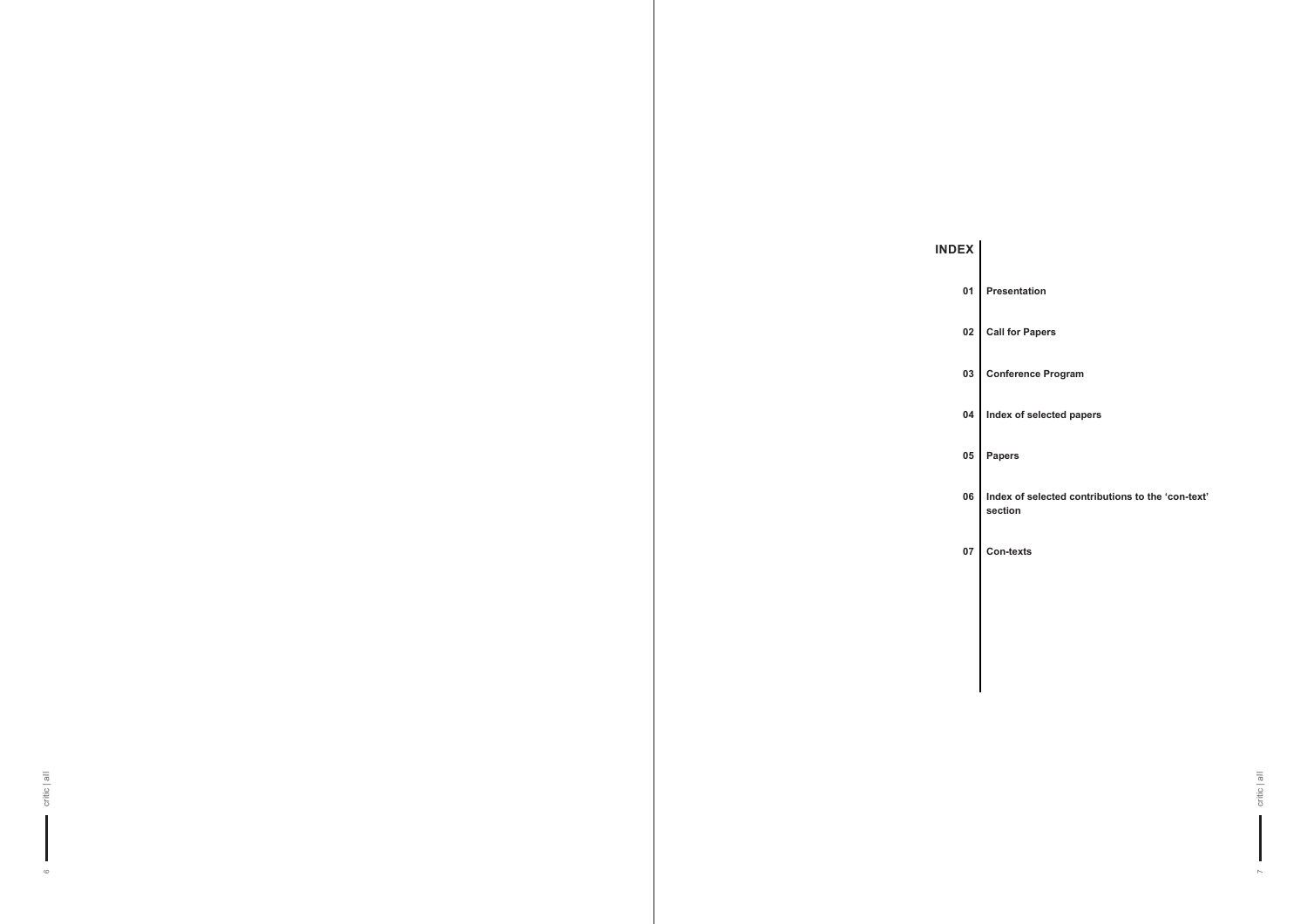6

u

7

**INDEX**

critic | all  $\mathbf{I}$ 

**01 [Presentation](#page--1-0)**

**02 [Call for Papers](#page-4-0)**

**03 [Conference Program](#page-5-0)**

**04 [Index of selected papers](#page--1-0)**

**05 [Papers](#page--1-0)**

**06 [Index of selected contributions to the 'con-text'](#page-6-0)  section**

**07 [Con-texts](#page-6-0)**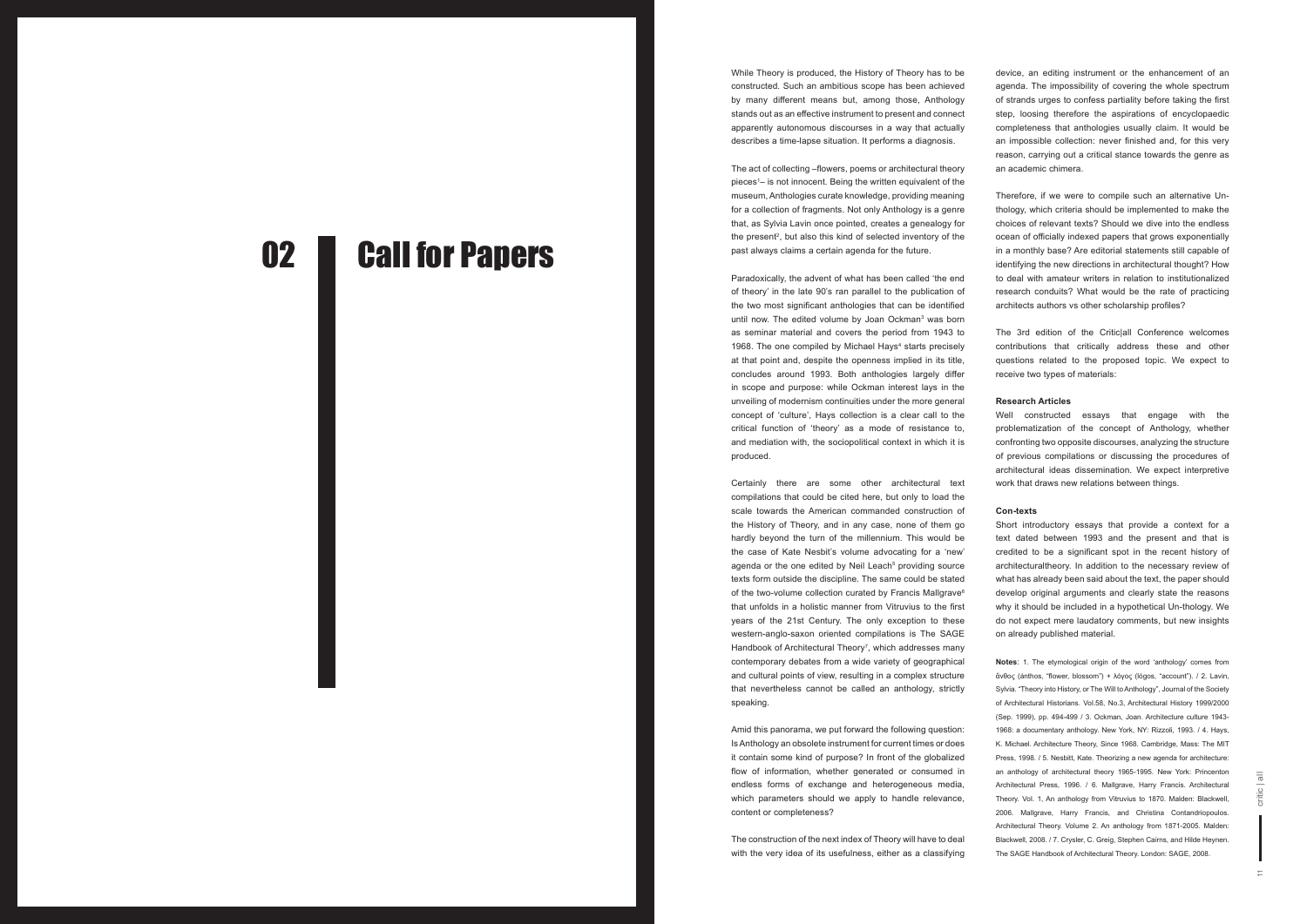<span id="page-4-0"></span>

## 02 **Call for Papers**

While Theory is produced, the History of Theory has to be constructed. Such an ambitious scope has been achieved by many different means but, among those, Anthology stands out as an effective instrument to present and connect apparently autonomous discourses in a way that actually describes a time-lapse situation. It performs a diagnosis.

The act of collecting –flowers, poems or architectural theory pieces 1 – is not innocent. Being the written equivalent of the museum, Anthologies curate knowledge, providing meaning for a collection of fragments. Not only Anthology is a genre that, as Sylvia Lavin once pointed, creates a genealogy for the present 2 , but also this kind of selected inventory of the past always claims a certain agenda for the future.

Paradoxically, the advent of what has been called 'the end of theory' in the late 90's ran parallel to the publication of the two most significant anthologies that can be identified until now. The edited volume by Joan Ockman 3 was born as seminar material and covers the period from 1943 to 1968. The one compiled by Michael Hays<sup>4</sup> starts precisely at that point and, despite the openness implied in its title, concludes around 1993. Both anthologies largely differ in scope and purpose: while Ockman interest lays in the unveiling of modernism continuities under the more general concept of 'culture', Hays collection is a clear call to the critical function of 'theory' as a mode of resistance to, and mediation with, the sociopolitical context in which it is produced.

Certainly there are some other architectural text compilations that could be cited here, but only to load the scale towards the American commanded construction of the History of Theory, and in any case, none of them go hardly beyond the turn of the millennium. This would be the case of Kate Nesbit's volume advocating for a 'new' agenda or the one edited by Neil Leach<sup>5</sup> providing source texts form outside the discipline. The same could be stated of the two-volume collection curated by Francis Mallgrave 6 that unfolds in a holistic manner from Vitruvius to the first years of the 21st Century. The only exception to these western-anglo-saxon oriented compilations is The SAGE Handbook of Architectural Theory<sup>7</sup>, which addresses many contemporary debates from a wide variety of geographical and cultural points of view, resulting in a complex structure that nevertheless cannot be called an anthology, strictly speaking.

The 3rd edition of the Criticlall Conference welcomes contributions that critically address these and other questions related to the proposed topic. We expect to receive two types of materials:

Amid this panorama, we put forward the following question: Is Anthology an obsolete instrument for current times or does it contain some kind of purpose? In front of the globalized flow of information, whether generated or consumed in endless forms of exchange and heterogeneous media, which parameters should we apply to handle relevance, content or completeness?

The construction of the next index of Theory will have to deal with the very idea of its usefulness, either as a classifying device, an editing instrument or the enhancement of an agenda. The impossibility of covering the whole spectrum of strands urges to confess partiality before taking the first step, loosing therefore the aspirations of encyclopaedic completeness that anthologies usually claim. It would be an impossible collection: never finished and, for this very reason, carrying out a critical stance towards the genre as an academic chimera.

Therefore, if we were to compile such an alternative Unthology, which criteria should be implemented to make the choices of relevant texts? Should we dive into the endless ocean of officially indexed papers that grows exponentially in a monthly base? Are editorial statements still capable of identifying the new directions in architectural thought? How to deal with amateur writers in relation to institutionalized research conduits? What would be the rate of practicing architects authors vs other scholarship profiles?

#### **Research Articles**

Well constructed essays that engage with the problematization of the concept of Anthology, whether confronting two opposite discourses, analyzing the structure of previous compilations or discussing the procedures of architectural ideas dissemination. We expect interpretive work that draws new relations between things.

#### **Con-texts**

Short introductory essays that provide a context for a text dated between 1993 and the present and that is credited to be a significant spot in the recent history of architecturaltheory. In addition to the necessary review of what has already been said about the text, the paper should develop original arguments and clearly state the reasons why it should be included in a hypothetical Un-thology. We do not expect mere laudatory comments, but new insights on already published material.

**Notes**: 1. The etymological origin of the word 'anthology' comes from ἄνθος (ánthos, "flower, blossom") + λόγος (lógos, "account"). / 2. Lavin, Sylvia. "Theory into History, or The Will to Anthology", Journal of the Society of Architectural Historians. Vol.58, No.3, Architectural History 1999/2000 (Sep. 1999), pp. 494-499 / 3. Ockman, Joan. Architecture culture 1943- 1968: a documentary anthology. New York, NY: Rizzoli, 1993. / 4. Hays, K. Michael. Architecture Theory, Since 1968. Cambridge, Mass: The MIT Press, 1998. / 5. Nesbitt, Kate. Theorizing a new agenda for architecture: an anthology of architectural theory 1965-1995. New York: Princenton Architectural Press, 1996. / 6. Mallgrave, Harry Francis. Architectural Theory. Vol. 1, An anthology from Vitruvius to 1870. Malden: Blackwell, 2006. Mallgrave, Harry Francis, and Christina Contandriopoulos. Architectural Theory. Volume 2. An anthology from 1871-2005. Malden: Blackwell, 2008. / 7. Crysler, C. Greig, Stephen Cairns, and Hilde Heynen. The SAGE Handbook of Architectural Theory. London: SAGE, 2008.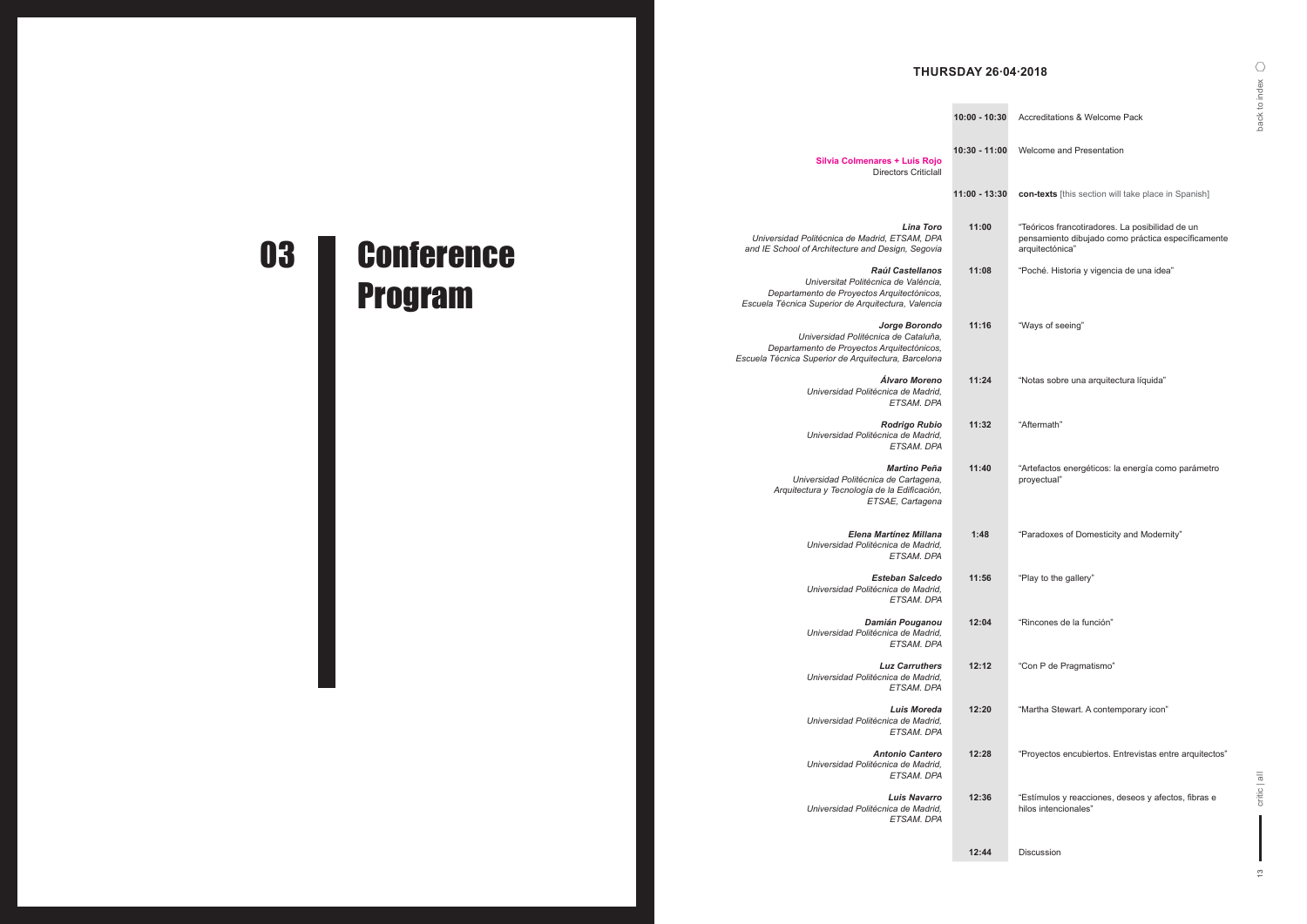**Silvia Colmenares + Luis Rojo** Directors CriticIall

# <span id="page-5-0"></span>03 Conference

Program

 *Lina Toro Universidad Politécnica de Madrid, ETSAM, DPA and IE School of Architecture and Design, Segovia*

*Raúl Castellanos Universitat Politècnica de València, Departamento de Proyectos Arquitectónicos, Escuela Técnica Superior de Arquitectura, Valencia*

 *Jorge Borondo Universidad Politécnica de Cataluña, Departamento de Proyectos Arquitectónicos, Escuela Técnica Superior de Arquitectura, Barcelona*

> *Álvaro Moreno Universidad Politécnica de Madrid, ETSAM. DPA*

*Rodrigo Rubio Universidad Politécnica de Madrid, ETSAM. DPA*

 *Martino Peña Universidad Politécnica de Cartagena, Arquitectura y Tecnología de la Edificación, ETSAE, Cartagena*

> *Elena Martínez Millana Universidad Politécnica de Madrid, ETSAM. DPA*

*Damián Pouganou Universidad Politécnica de Madrid, ETSAM. DPA*

| AI LU V       | 7 ŁV IV                                                                                                                  |               |
|---------------|--------------------------------------------------------------------------------------------------------------------------|---------------|
| $:00 - 10:30$ | <b>Accreditations &amp; Welcome Pack</b>                                                                                 | back to index |
| $:30 - 11:00$ | Welcome and Presentation                                                                                                 |               |
| $:00 - 13:30$ | con-texts [this section will take place in Spanish]                                                                      |               |
| 11:00         | "Teóricos francotiradores. La posibilidad de un<br>pensamiento dibujado como práctica específicamente<br>arquitectónica" |               |
| 11:08         | "Poché. Historia y vigencia de una idea"                                                                                 |               |
| 11:16         | "Ways of seeing"                                                                                                         |               |
| 11:24         | "Notas sobre una arquitectura líquida"                                                                                   |               |
| 11:32         | "Aftermath"                                                                                                              |               |
| 11:40         | "Artefactos energéticos: la energía como parámetro<br>proyectual"                                                        |               |
| 1:48          | "Paradoxes of Domesticity and Modernity"                                                                                 |               |
| 11:56         | "Play to the gallery"                                                                                                    |               |
| 12:04         | "Rincones de la función"                                                                                                 |               |
| 12:12         | "Con P de Pragmatismo"                                                                                                   |               |
| 12:20         | "Martha Stewart. A contemporary icon"                                                                                    |               |
| 12:28         | "Proyectos encubiertos. Entrevistas entre arquitectos"                                                                   |               |
| 12:36         | "Estímulos y reacciones, deseos y afectos, fibras e<br>hilos intencionales"                                              | critic all    |
| 12:44         | <b>Discussion</b>                                                                                                        |               |

 $\bigcirc$ 

*Luz Carruthers Universidad Politécnica de Madrid, ETSAM. DPA*

 *Luis Navarro Universidad Politécnica de Madrid, ETSAM. DPA*

*Esteban Salcedo Universidad Politécnica de Madrid, ETSAM. DPA* **11:56**

 *Luis Moreda Universidad Politécnica de Madrid, ETSAM. DPA* **12:20**

 *Antonio Cantero Universidad Politécnica de Madrid, ETSAM. DPA* **12:28**

## **THURSDAY 26·04·2018**

**10:00 - 10:30**

**10:30 -**

**11:00 - 13:30**

**11:32**

**1:48**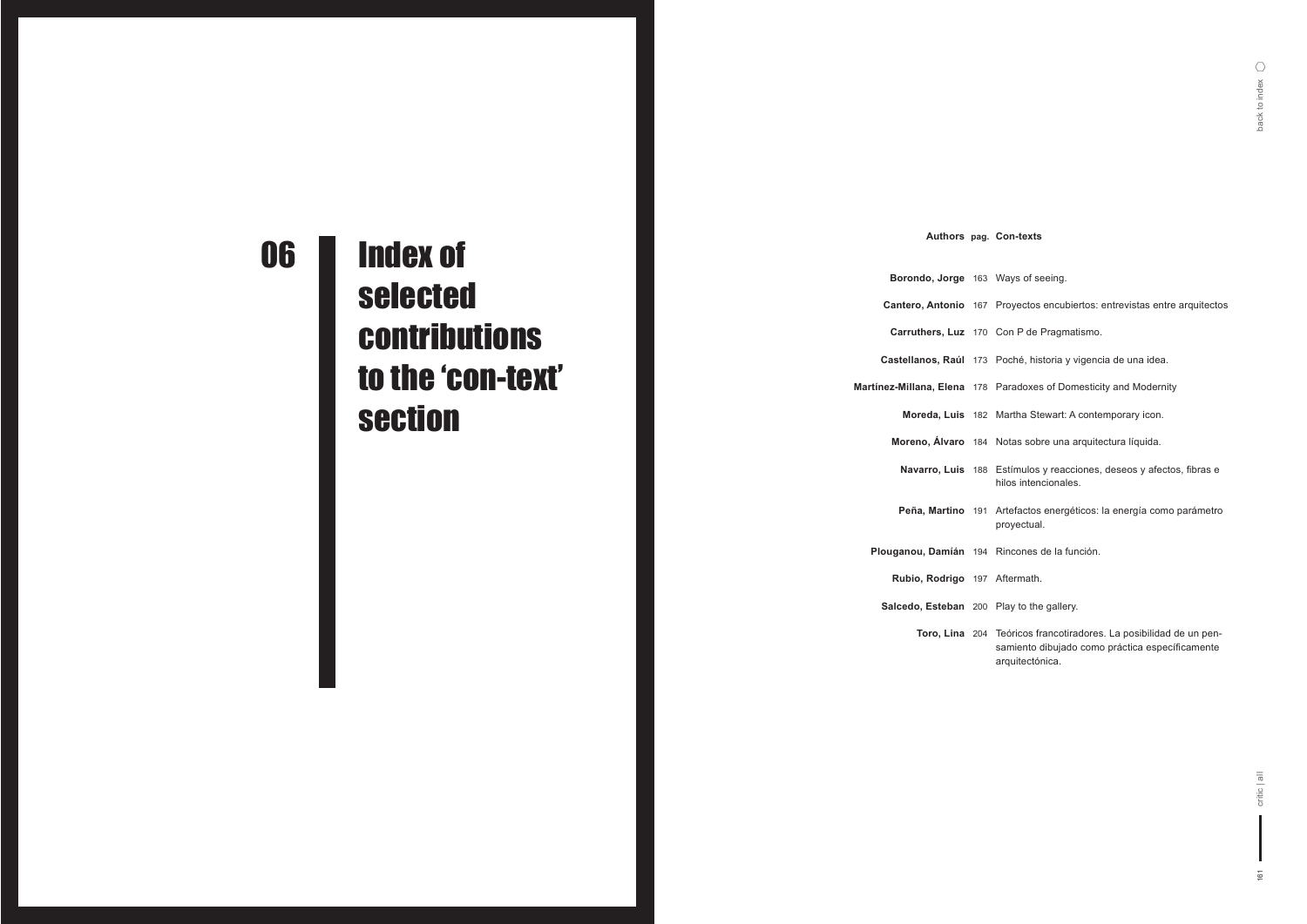<span id="page-6-0"></span>06 **Index of** selected contributions to the 'con-text' section

[Borondo, Jorge](#page--1-0) 163 Ways of seeing.

Plouganou, Damíán 194 [Rincones de la función.](#page--1-0)

**[Rubio, Rodrigo](#page--1-0)** 197 Aftermath.

**[Salcedo, Esteban](#page--1-0)** 200 Play to the gallery.

- 
- Cantero, Antonio 167 [Proyectos encubiertos: entrevistas entre arquitectos](#page--1-0)
- **Carruthers, Luz** 170 [Con P de Pragmatismo.](#page--1-0)
- Castellanos, Raúl 173 [Poché, historia y vigencia de una idea.](#page--1-0)
- **Martínez-Millana, Elena** 178 Paradoxes of Domesticity and Modernity
	- Moreda, Luis 182 [Martha Stewart: A contemporary icon.](#page--1-0)
	- **Moreno, Alvaro** 184 [Notas sobre una arquitectura líquida.](#page-7-0)
	- Navarro, Luis 188 Estímulos y reacciones, deseos y afectos, fibras e hilos intencionales.
	- Peña, Martino 191 Artefactos energéticos: la energía como parámetro proyectual.
		-
		-
		-
		- Toro, Lina 204 Teóricos francotiradores. La posibilidad de un pen[samiento dibujado como práctica específicamente](#page--1-0)  arquitectónica.

### **Authors pag. Con-texts**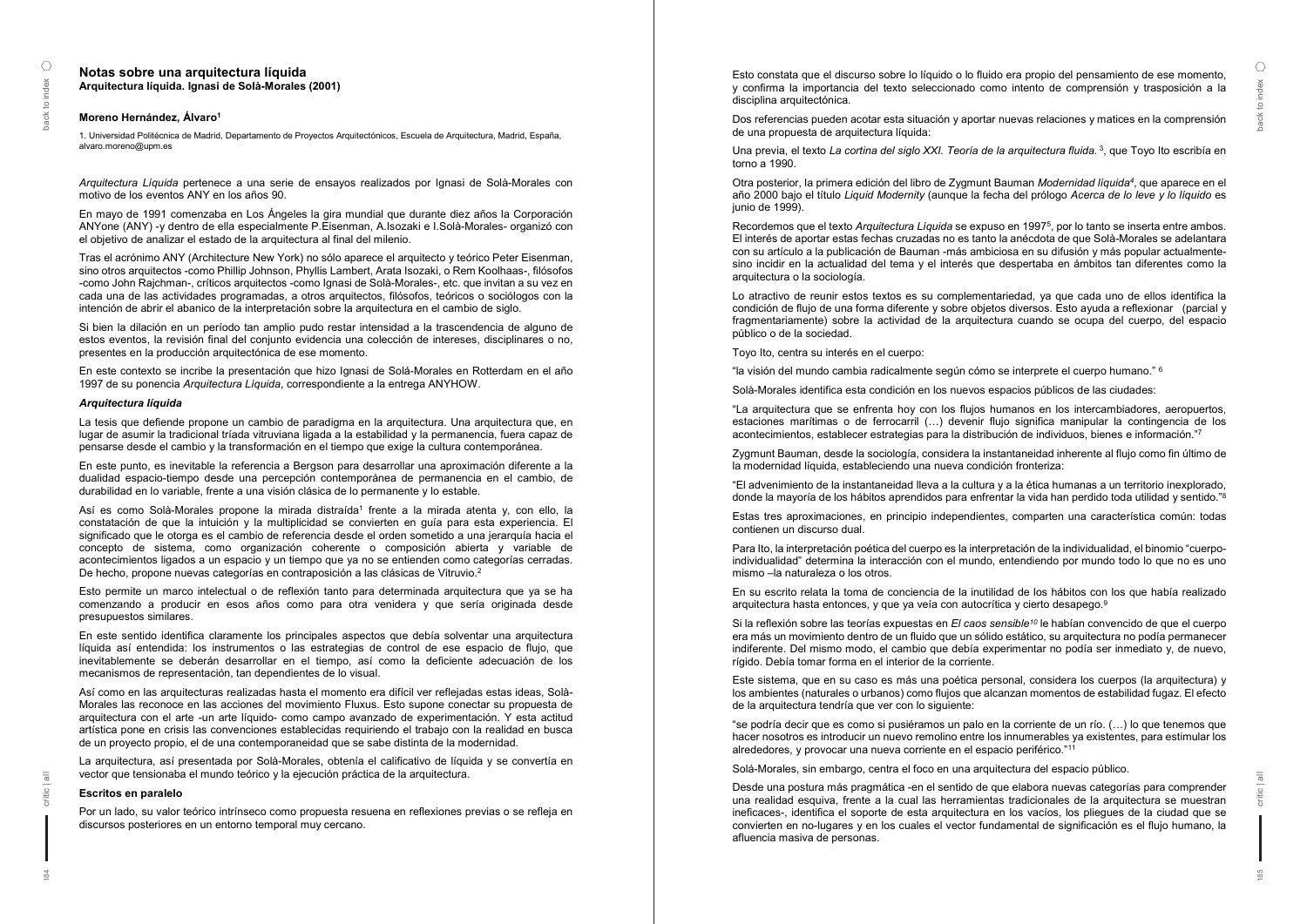<span id="page-7-0"></span>Notas sobre una arquitectura líquida Arquitectura líquida. Ignasi de Solà-Morales (2001)

#### Moreno Hernández, Álvaro<sup>1</sup>

1. Universidad Politécnica de Madrid, Departamento de Proyectos Arquitectónicos, Escuela de Arquitectura, Madrid, España, alvaro.moreno@upm.es

Arquitectura Líquida pertenece a una serie de ensayos realizados por Ignasi de Solà-Morales con motivo de los eventos ANY en los años 90.

En mayo de 1991 comenzaba en Los Ángeles la gira mundial que durante diez años la Corporación ANYone (ANY) -y dentro de ella especialmente P.Eisenman, A.Isozaki e I.Solà-Morales- organizó con el objetivo de analizar el estado de la arquitectura al final del milenio.

Tras el acrónimo ANY (Architecture New York) no sólo aparece el arquitecto y teórico Peter Eisenman, sino otros arquitectos -como Phillip Johnson, Phyllis Lambert, Arata Isozaki, o Rem Koolhaas-, filósofos -como John Rajchman-, críticos arquitectos -como Ignasi de Solà-Morales-, etc. que invitan a su vez en cada una de las actividades programadas, a otros arquitectos, filósofos, teóricos o sociólogos con la intención de abrir el abanico de la interpretación sobre la arquitectura en el cambio de siglo.

Si bien la dilación en un período tan amplio pudo restar intensidad a la trascendencia de alguno de estos eventos, la revisión final del conjunto evidencia una colección de intereses, disciplinares o no, presentes en la producción arquitectónica de ese momento.

Así es como Solà-Morales propone la mirada distraída<sup>1</sup> frente a la mirada atenta y, con ello, la constatación de que la intuición y la multiplicidad se convierten en guía para esta experiencia. El significado que le otorga es el cambio de referencia desde el orden sometido a una jerarquía hacia el concepto de sistema, como organización coherente o composición abierta y variable de acontecimientos ligados a un espacio y un tiempo que ya no se entienden como categorías cerradas. De hecho, propone nuevas categorías en contraposición a las clásicas de Vitruvio.2

En este contexto se incribe la presentación que hizo Ignasi de Solá-Morales en Rotterdam en el año 1997 de su ponencia Arquitectura Líquida, correspondiente a la entrega ANYHOW.

#### Arquitectura líquida

La tesis que defiende propone un cambio de paradigma en la arquitectura. Una arquitectura que, en lugar de asumir la tradicional tríada vitruviana ligada a la estabilidad y la permanencia, fuera capaz de pensarse desde el cambio y la transformación en el tiempo que exige la cultura contemporánea.

En este punto, es inevitable la referencia a Bergson para desarrollar una aproximación diferente a la dualidad espacio-tiempo desde una percepción contemporánea de permanencia en el cambio, de durabilidad en lo variable, frente a una visión clásica de lo permanente y lo estable.

Una previa, el texto La cortina del siglo XXI. Teoría de la arguitectura fluida.<sup>3</sup>, que Toyo Ito escribía en torno a 1990.

Otra posterior, la primera edición del libro de Zygmunt Bauman Modernidad líquida<sup>4</sup>, que aparece en el año 2000 bajo el título Liquid Modernity (aunque la fecha del prólogo Acerca de lo leve y lo líquido es junio de 1999).

Recordemos que el texto Arquitectura Líquida se expuso en 1997<sup>5</sup>, por lo tanto se inserta entre ambos. El interés de aportar estas fechas cruzadas no es tanto la anécdota de que Solà-Morales se adelantara con su artículo a la publicación de Bauman -más ambiciosa en su difusión y más popular actualmentesino incidir en la actualidad del tema y el interés que despertaba en ámbitos tan diferentes como la arquitectura o la sociología.

Esto permite un marco intelectual o de reflexión tanto para determinada arquitectura que ya se ha comenzando a producir en esos años como para otra venidera y que sería originada desde presupuestos similares.

En este sentido identifica claramente los principales aspectos que debía solventar una arquitectura líquida así entendida: los instrumentos o las estrategias de control de ese espacio de flujo, que inevitablemente se deberán desarrollar en el tiempo, así como la deficiente adecuación de los mecanismos de representación, tan dependientes de lo visual.

Así como en las arquitecturas realizadas hasta el momento era difícil ver reflejadas estas ideas, Solà-Morales las reconoce en las acciones del movimiento Fluxus. Esto supone conectar su propuesta de arquitectura con el arte -un arte líquido- como campo avanzado de experimentación. Y esta actitud artística pone en crisis las convenciones establecidas requiriendo el trabajo con la realidad en busca de un proyecto propio, el de una contemporaneidad que se sabe distinta de la modernidad.

Si la reflexión sobre las teorías expuestas en El caos sensible<sup>10</sup> le habían convencido de que el cuerpo era más un movimiento dentro de un fluido que un sólido estático, su arquitectura no podía permanecer indiferente. Del mismo modo, el cambio que debía experimentar no podía ser inmediato y, de nuevo, rígido. Debía tomar forma en el interior de la corriente.

"se podría decir que es como si pusiéramos un palo en la corriente de un río. (…) lo que tenemos que hacer nosotros es introducir un nuevo remolino entre los innumerables ya existentes, para estimular los alrededores, y provocar una nueva corriente en el espacio periférico."<sup>11</sup>

La arquitectura, así presentada por Solà-Morales, obtenía el calificativo de líquida y se convertía en vector que tensionaba el mundo teórico y la ejecución práctica de la arquitectura.

#### Escritos en paralelo

Por un lado, su valor teórico intrínseco como propuesta resuena en reflexiones previas o se refleja en discursos posteriores en un entorno temporal muy cercano.

Esto constata que el discurso sobre lo líquido o lo fluido era propio del pensamiento de ese momento, y confirma la importancia del texto seleccionado como intento de comprensión y trasposición a la disciplina arquitectónica.

Dos referencias pueden acotar esta situación y aportar nuevas relaciones y matices en la comprensión de una propuesta de arquitectura líquida:

Lo atractivo de reunir estos textos es su complementariedad, ya que cada uno de ellos identifica la condición de flujo de una forma diferente y sobre objetos diversos. Esto ayuda a reflexionar (parcial y fragmentariamente) sobre la actividad de la arquitectura cuando se ocupa del cuerpo, del espacio público o de la sociedad.

Toyo Ito, centra su interés en el cuerpo:

"la visión del mundo cambia radicalmente según cómo se interprete el cuerpo humano." 6

Solà-Morales identifica esta condición en los nuevos espacios públicos de las ciudades:

"La arquitectura que se enfrenta hoy con los flujos humanos en los intercambiadores, aeropuertos, estaciones marítimas o de ferrocarril (…) devenir flujo significa manipular la contingencia de los acontecimientos, establecer estrategias para la distribución de individuos, bienes e información."7

Zygmunt Bauman, desde la sociología, considera la instantaneidad inherente al flujo como fin último de la modernidad líquida, estableciendo una nueva condición fronteriza:

"El advenimiento de la instantaneidad lleva a la cultura y a la ética humanas a un territorio inexplorado, donde la mayoría de los hábitos aprendidos para enfrentar la vida han perdido toda utilidad y sentido."8

Estas tres aproximaciones, en principio independientes, comparten una característica común: todas contienen un discurso dual.

Para Ito, la interpretación poética del cuerpo es la interpretación de la individualidad, el binomio "cuerpoindividualidad" determina la interacción con el mundo, entendiendo por mundo todo lo que no es uno mismo –la naturaleza o los otros.

En su escrito relata la toma de conciencia de la inutilidad de los hábitos con los que había realizado arquitectura hasta entonces, y que ya veía con autocrítica y cierto desapego.9

Este sistema, que en su caso es más una poética personal, considera los cuerpos (la arquitectura) y los ambientes (naturales o urbanos) como flujos que alcanzan momentos de estabilidad fugaz. El efecto de la arquitectura tendría que ver con lo siguiente:

Solá-Morales, sin embargo, centra el foco en una arquitectura del espacio público.

Desde una postura más pragmática -en el sentido de que elabora nuevas categorías para comprender una realidad esquiva, frente a la cual las herramientas tradicionales de la arquitectura se muestran ineficaces-, identifica el soporte de esta arquitectura en los vacíos, los pliegues de la ciudad que se convierten en no-lugares y en los cuales el vector fundamental de significación es el flujo humano, la afluencia masiva de personas.

critic all